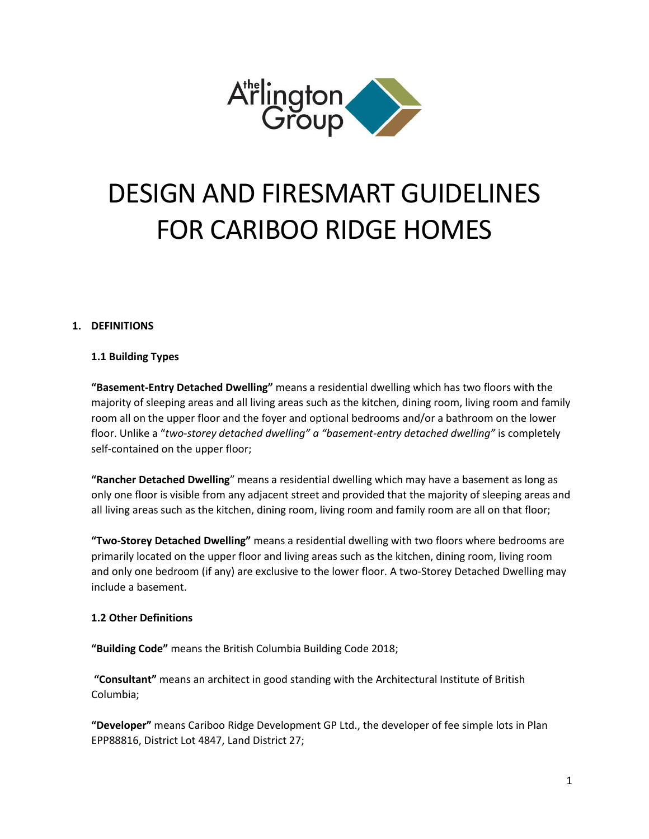

# DESIGN AND FIRESMART GUIDELINES FOR CARIBOO RIDGE HOMES

## **1. DEFINITIONS**

## **1.1 Building Types**

**"Basement-Entry Detached Dwelling"** means a residential dwelling which has two floors with the majority of sleeping areas and all living areas such as the kitchen, dining room, living room and family room all on the upper floor and the foyer and optional bedrooms and/or a bathroom on the lower floor. Unlike a "*two-storey detached dwelling" a "basement-entry detached dwelling"* is completely self-contained on the upper floor;

**"Rancher Detached Dwelling**" means a residential dwelling which may have a basement as long as only one floor is visible from any adjacent street and provided that the majority of sleeping areas and all living areas such as the kitchen, dining room, living room and family room are all on that floor;

**"Two-Storey Detached Dwelling"** means a residential dwelling with two floors where bedrooms are primarily located on the upper floor and living areas such as the kitchen, dining room, living room and only one bedroom (if any) are exclusive to the lower floor. A two-Storey Detached Dwelling may include a basement.

## **1.2 Other Definitions**

**"Building Code"** means the British Columbia Building Code 2018;

**"Consultant"** means an architect in good standing with the Architectural Institute of British Columbia;

**"Developer"** means Cariboo Ridge Development GP Ltd., the developer of fee simple lots in Plan EPP88816, District Lot 4847, Land District 27;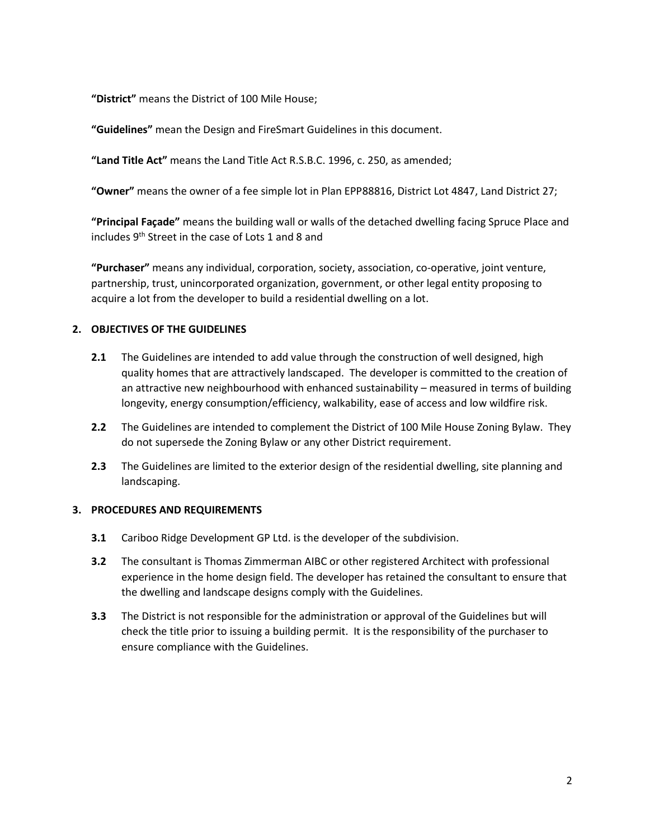**"District"** means the District of 100 Mile House;

**"Guidelines"** mean the Design and FireSmart Guidelines in this document.

**"Land Title Act"** means the Land Title Act R.S.B.C. 1996, c. 250, as amended;

**"Owner"** means the owner of a fee simple lot in Plan EPP88816, District Lot 4847, Land District 27;

**"Principal Façade"** means the building wall or walls of the detached dwelling facing Spruce Place and includes 9th Street in the case of Lots 1 and 8 and

**"Purchaser"** means any individual, corporation, society, association, co-operative, joint venture, partnership, trust, unincorporated organization, government, or other legal entity proposing to acquire a lot from the developer to build a residential dwelling on a lot.

## **2. OBJECTIVES OF THE GUIDELINES**

- **2.1** The Guidelines are intended to add value through the construction of well designed, high quality homes that are attractively landscaped. The developer is committed to the creation of an attractive new neighbourhood with enhanced sustainability – measured in terms of building longevity, energy consumption/efficiency, walkability, ease of access and low wildfire risk.
- **2.2** The Guidelines are intended to complement the District of 100 Mile House Zoning Bylaw. They do not supersede the Zoning Bylaw or any other District requirement.
- **2.3** The Guidelines are limited to the exterior design of the residential dwelling, site planning and landscaping.

## **3. PROCEDURES AND REQUIREMENTS**

- **3.1** Cariboo Ridge Development GP Ltd. is the developer of the subdivision.
- **3.2** The consultant is Thomas Zimmerman AIBC or other registered Architect with professional experience in the home design field. The developer has retained the consultant to ensure that the dwelling and landscape designs comply with the Guidelines.
- **3.3** The District is not responsible for the administration or approval of the Guidelines but will check the title prior to issuing a building permit. It is the responsibility of the purchaser to ensure compliance with the Guidelines.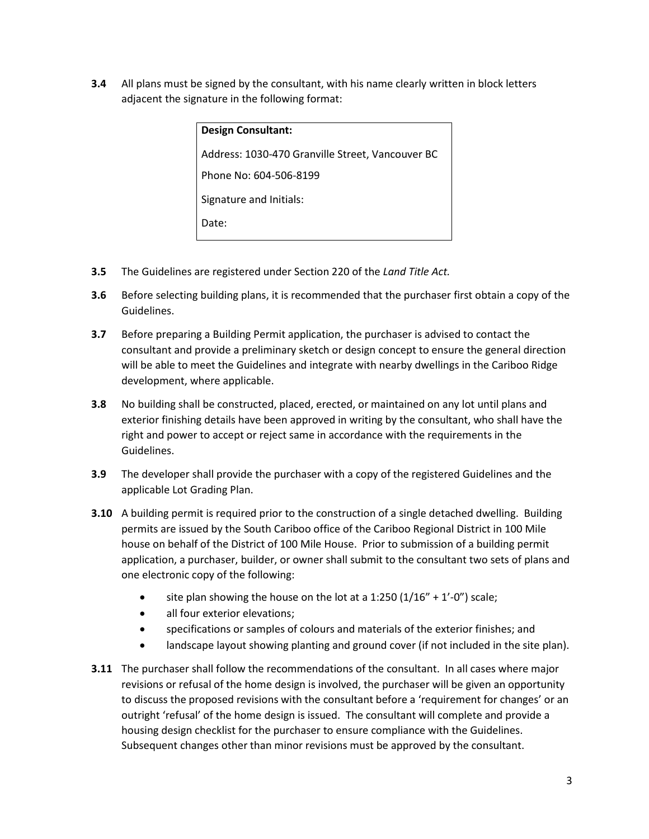**3.4** All plans must be signed by the consultant, with his name clearly written in block letters adjacent the signature in the following format:

| <b>Design Consultant:</b>                        |
|--------------------------------------------------|
| Address: 1030-470 Granville Street, Vancouver BC |
| Phone No: 604-506-8199                           |
| Signature and Initials:                          |
| Date:                                            |

- **3.5** The Guidelines are registered under Section 220 of the *Land Title Act.*
- **3.6** Before selecting building plans, it is recommended that the purchaser first obtain a copy of the Guidelines.
- **3.7** Before preparing a Building Permit application, the purchaser is advised to contact the consultant and provide a preliminary sketch or design concept to ensure the general direction will be able to meet the Guidelines and integrate with nearby dwellings in the Cariboo Ridge development, where applicable.
- **3.8** No building shall be constructed, placed, erected, or maintained on any lot until plans and exterior finishing details have been approved in writing by the consultant, who shall have the right and power to accept or reject same in accordance with the requirements in the Guidelines.
- **3.9** The developer shall provide the purchaser with a copy of the registered Guidelines and the applicable Lot Grading Plan.
- **3.10** A building permit is required prior to the construction of a single detached dwelling. Building permits are issued by the South Cariboo office of the Cariboo Regional District in 100 Mile house on behalf of the District of 100 Mile House. Prior to submission of a building permit application, a purchaser, builder, or owner shall submit to the consultant two sets of plans and one electronic copy of the following:
	- site plan showing the house on the lot at a 1:250  $(1/16'' + 1'-0'')$  scale;
	- all four exterior elevations;
	- specifications or samples of colours and materials of the exterior finishes; and
	- landscape layout showing planting and ground cover (if not included in the site plan).
- **3.11** The purchaser shall follow the recommendations of the consultant. In all cases where major revisions or refusal of the home design is involved, the purchaser will be given an opportunity to discuss the proposed revisions with the consultant before a 'requirement for changes' or an outright 'refusal' of the home design is issued. The consultant will complete and provide a housing design checklist for the purchaser to ensure compliance with the Guidelines. Subsequent changes other than minor revisions must be approved by the consultant.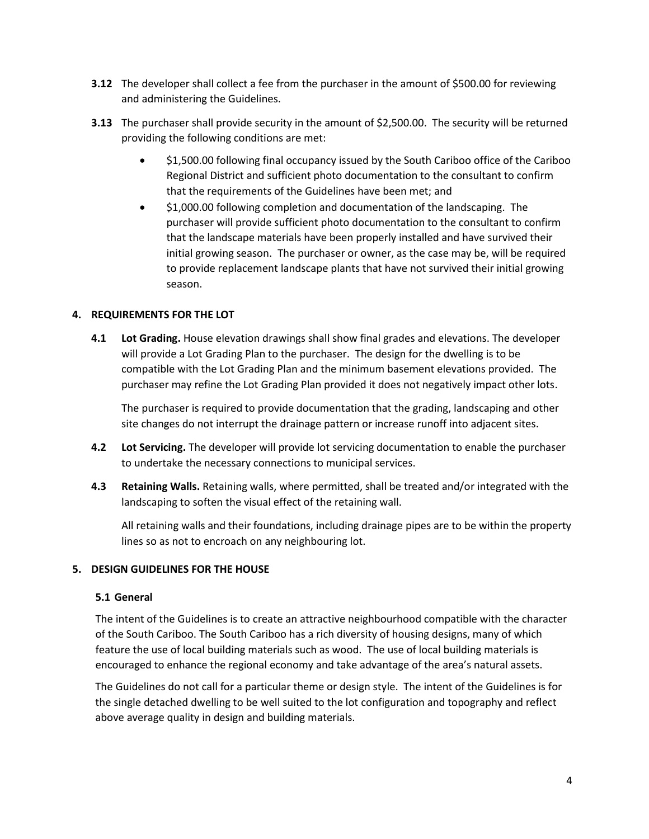- **3.12** The developer shall collect a fee from the purchaser in the amount of \$500.00 for reviewing and administering the Guidelines.
- **3.13** The purchaser shall provide security in the amount of \$2,500.00. The security will be returned providing the following conditions are met:
	- \$1,500.00 following final occupancy issued by the South Cariboo office of the Cariboo Regional District and sufficient photo documentation to the consultant to confirm that the requirements of the Guidelines have been met; and
	- \$1,000.00 following completion and documentation of the landscaping. The purchaser will provide sufficient photo documentation to the consultant to confirm that the landscape materials have been properly installed and have survived their initial growing season. The purchaser or owner, as the case may be, will be required to provide replacement landscape plants that have not survived their initial growing season.

## **4. REQUIREMENTS FOR THE LOT**

**4.1 Lot Grading.** House elevation drawings shall show final grades and elevations. The developer will provide a Lot Grading Plan to the purchaser. The design for the dwelling is to be compatible with the Lot Grading Plan and the minimum basement elevations provided. The purchaser may refine the Lot Grading Plan provided it does not negatively impact other lots.

The purchaser is required to provide documentation that the grading, landscaping and other site changes do not interrupt the drainage pattern or increase runoff into adjacent sites.

- **4.2 Lot Servicing.** The developer will provide lot servicing documentation to enable the purchaser to undertake the necessary connections to municipal services.
- **4.3 Retaining Walls.** Retaining walls, where permitted, shall be treated and/or integrated with the landscaping to soften the visual effect of the retaining wall.

All retaining walls and their foundations, including drainage pipes are to be within the property lines so as not to encroach on any neighbouring lot.

## **5. DESIGN GUIDELINES FOR THE HOUSE**

## **5.1 General**

The intent of the Guidelines is to create an attractive neighbourhood compatible with the character of the South Cariboo. The South Cariboo has a rich diversity of housing designs, many of which feature the use of local building materials such as wood. The use of local building materials is encouraged to enhance the regional economy and take advantage of the area's natural assets.

The Guidelines do not call for a particular theme or design style. The intent of the Guidelines is for the single detached dwelling to be well suited to the lot configuration and topography and reflect above average quality in design and building materials.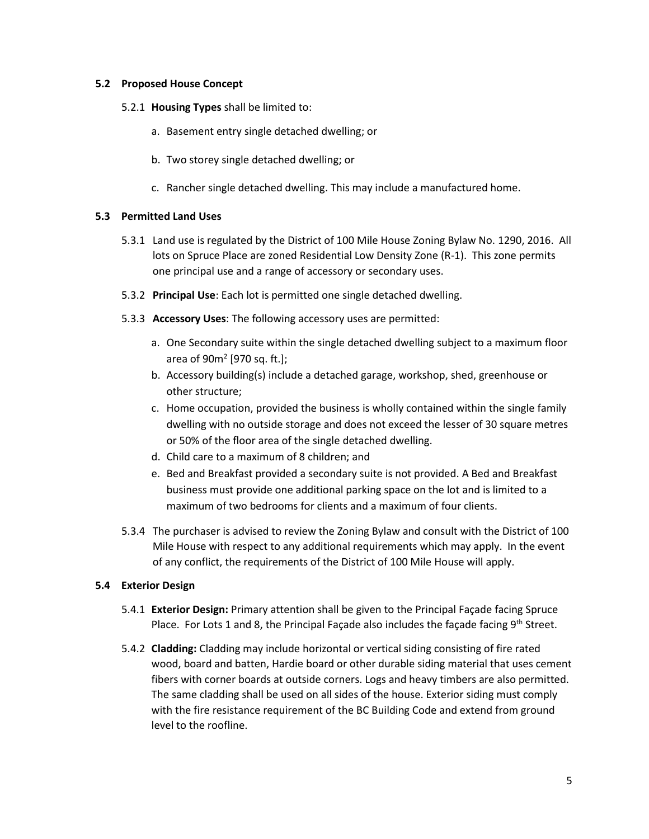## **5.2 Proposed House Concept**

- 5.2.1 **Housing Types** shall be limited to:
	- a. Basement entry single detached dwelling; or
	- b. Two storey single detached dwelling; or
	- c. Rancher single detached dwelling. This may include a manufactured home.

## **5.3 Permitted Land Uses**

- 5.3.1 Land use is regulated by the District of 100 Mile House Zoning Bylaw No. 1290, 2016. All lots on Spruce Place are zoned Residential Low Density Zone (R-1). This zone permits one principal use and a range of accessory or secondary uses.
- 5.3.2 **Principal Use**: Each lot is permitted one single detached dwelling.
- 5.3.3 **Accessory Uses**: The following accessory uses are permitted:
	- a. One Secondary suite within the single detached dwelling subject to a maximum floor area of 90m<sup>2</sup> [970 sq. ft.];
	- b. Accessory building(s) include a detached garage, workshop, shed, greenhouse or other structure;
	- c. Home occupation, provided the business is wholly contained within the single family dwelling with no outside storage and does not exceed the lesser of 30 square metres or 50% of the floor area of the single detached dwelling.
	- d. Child care to a maximum of 8 children; and
	- e. Bed and Breakfast provided a secondary suite is not provided. A Bed and Breakfast business must provide one additional parking space on the lot and is limited to a maximum of two bedrooms for clients and a maximum of four clients.
- 5.3.4 The purchaser is advised to review the Zoning Bylaw and consult with the District of 100 Mile House with respect to any additional requirements which may apply. In the event of any conflict, the requirements of the District of 100 Mile House will apply.

## **5.4 Exterior Design**

- 5.4.1 **Exterior Design:** Primary attention shall be given to the Principal Façade facing Spruce Place. For Lots 1 and 8, the Principal Façade also includes the façade facing 9<sup>th</sup> Street.
- 5.4.2 **Cladding:** Cladding may include horizontal or vertical siding consisting of fire rated wood, board and batten, Hardie board or other durable siding material that uses cement fibers with corner boards at outside corners. Logs and heavy timbers are also permitted. The same cladding shall be used on all sides of the house. Exterior siding must comply with the fire resistance requirement of the BC Building Code and extend from ground level to the roofline.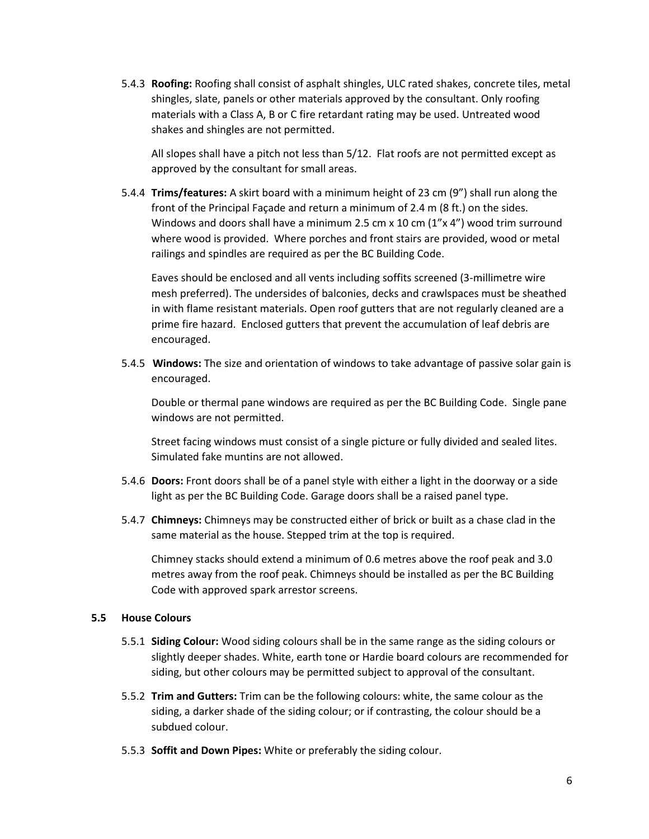5.4.3 **Roofing:** Roofing shall consist of asphalt shingles, ULC rated shakes, concrete tiles, metal shingles, slate, panels or other materials approved by the consultant. Only roofing materials with a Class A, B or C fire retardant rating may be used. Untreated wood shakes and shingles are not permitted.

All slopes shall have a pitch not less than 5/12. Flat roofs are not permitted except as approved by the consultant for small areas.

5.4.4 **Trims/features:** A skirt board with a minimum height of 23 cm (9") shall run along the front of the Principal Façade and return a minimum of 2.4 m (8 ft.) on the sides. Windows and doors shall have a minimum 2.5 cm x 10 cm  $(1''x 4'')$  wood trim surround where wood is provided. Where porches and front stairs are provided, wood or metal railings and spindles are required as per the BC Building Code.

Eaves should be enclosed and all vents including soffits screened (3-millimetre wire mesh preferred). The undersides of balconies, decks and crawlspaces must be sheathed in with flame resistant materials. Open roof gutters that are not regularly cleaned are a prime fire hazard. Enclosed gutters that prevent the accumulation of leaf debris are encouraged.

5.4.5 **Windows:** The size and orientation of windows to take advantage of passive solar gain is encouraged.

Double or thermal pane windows are required as per the BC Building Code. Single pane windows are not permitted.

Street facing windows must consist of a single picture or fully divided and sealed lites. Simulated fake muntins are not allowed.

- 5.4.6 **Doors:** Front doors shall be of a panel style with either a light in the doorway or a side light as per the BC Building Code. Garage doors shall be a raised panel type.
- 5.4.7 **Chimneys:** Chimneys may be constructed either of brick or built as a chase clad in the same material as the house. Stepped trim at the top is required.

Chimney stacks should extend a minimum of 0.6 metres above the roof peak and 3.0 metres away from the roof peak. Chimneys should be installed as per the BC Building Code with approved spark arrestor screens.

## **5.5 House Colours**

- 5.5.1 **Siding Colour:** Wood siding colours shall be in the same range as the siding colours or slightly deeper shades. White, earth tone or Hardie board colours are recommended for siding, but other colours may be permitted subject to approval of the consultant.
- 5.5.2 **Trim and Gutters:** Trim can be the following colours: white, the same colour as the siding, a darker shade of the siding colour; or if contrasting, the colour should be a subdued colour.
- 5.5.3 **Soffit and Down Pipes:** White or preferably the siding colour.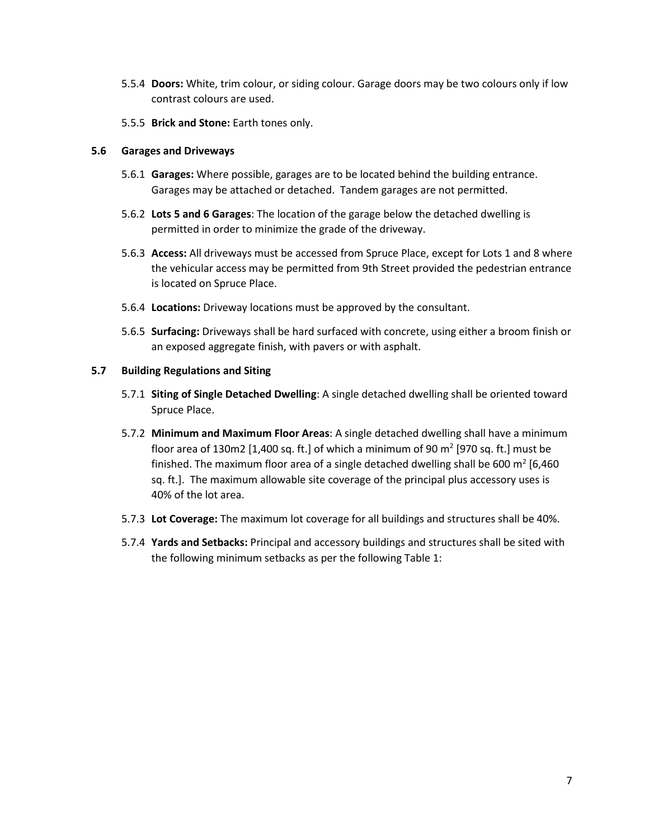- 5.5.4 **Doors:** White, trim colour, or siding colour. Garage doors may be two colours only if low contrast colours are used.
- 5.5.5 **Brick and Stone:** Earth tones only.

## **5.6 Garages and Driveways**

- 5.6.1 **Garages:** Where possible, garages are to be located behind the building entrance. Garages may be attached or detached. Tandem garages are not permitted.
- 5.6.2 **Lots 5 and 6 Garages**: The location of the garage below the detached dwelling is permitted in order to minimize the grade of the driveway.
- 5.6.3 **Access:** All driveways must be accessed from Spruce Place, except for Lots 1 and 8 where the vehicular access may be permitted from 9th Street provided the pedestrian entrance is located on Spruce Place.
- 5.6.4 **Locations:** Driveway locations must be approved by the consultant.
- 5.6.5 **Surfacing:** Driveways shall be hard surfaced with concrete, using either a broom finish or an exposed aggregate finish, with pavers or with asphalt.

## **5.7 Building Regulations and Siting**

- 5.7.1 **Siting of Single Detached Dwelling**: A single detached dwelling shall be oriented toward Spruce Place.
- 5.7.2 **Minimum and Maximum Floor Areas**: A single detached dwelling shall have a minimum floor area of 130m2 [1,400 sq. ft.] of which a minimum of 90 m<sup>2</sup> [970 sq. ft.] must be finished. The maximum floor area of a single detached dwelling shall be 600 m<sup>2</sup> [6,460 sq. ft.]. The maximum allowable site coverage of the principal plus accessory uses is 40% of the lot area.
- 5.7.3 **Lot Coverage:** The maximum lot coverage for all buildings and structures shall be 40%.
- 5.7.4 **Yards and Setbacks:** Principal and accessory buildings and structures shall be sited with the following minimum setbacks as per the following Table 1: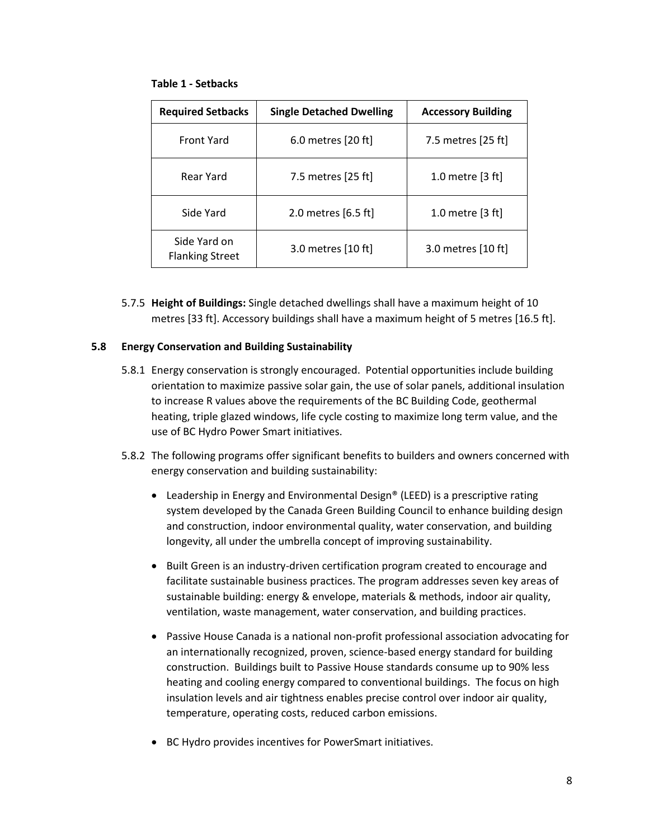#### **Table 1 - Setbacks**

| <b>Required Setbacks</b>               | <b>Single Detached Dwelling</b> | <b>Accessory Building</b>  |
|----------------------------------------|---------------------------------|----------------------------|
| <b>Front Yard</b>                      | 6.0 metres [20 ft]              | 7.5 metres [25 ft]         |
| Rear Yard                              | 7.5 metres [25 ft]              | 1.0 metre $[3 ft]$         |
| Side Yard                              | 2.0 metres [6.5 ft]             | 1.0 metre $[3 \text{ ft}]$ |
| Side Yard on<br><b>Flanking Street</b> | 3.0 metres [10 ft]              | 3.0 metres [10 ft]         |

5.7.5 **Height of Buildings:** Single detached dwellings shall have a maximum height of 10 metres [33 ft]. Accessory buildings shall have a maximum height of 5 metres [16.5 ft].

## **5.8 Energy Conservation and Building Sustainability**

- 5.8.1 Energy conservation is strongly encouraged. Potential opportunities include building orientation to maximize passive solar gain, the use of solar panels, additional insulation to increase R values above the requirements of the BC Building Code, geothermal heating, triple glazed windows, life cycle costing to maximize long term value, and the use of BC Hydro Power Smart initiatives.
- 5.8.2 The following programs offer significant benefits to builders and owners concerned with energy conservation and building sustainability:
	- Leadership in Energy and Environmental Design® (LEED) is a prescriptive rating system developed by the Canada Green Building Council to enhance building design and construction, indoor environmental quality, water conservation, and building longevity, all under the umbrella concept of improving sustainability.
	- Built Green is an industry-driven certification program created to encourage and facilitate sustainable business practices. The program addresses seven key areas of sustainable building: energy & envelope, materials & methods, indoor air quality, ventilation, waste management, water conservation, and building practices.
	- Passive House Canada is a national non-profit professional association advocating for an internationally recognized, proven, science-based energy standard for building construction. Buildings built to Passive House standards consume up to 90% less heating and cooling energy compared to conventional buildings. The focus on high insulation levels and air tightness enables precise control over indoor air quality, temperature, operating costs, reduced carbon emissions.
	- BC Hydro provides incentives for PowerSmart initiatives.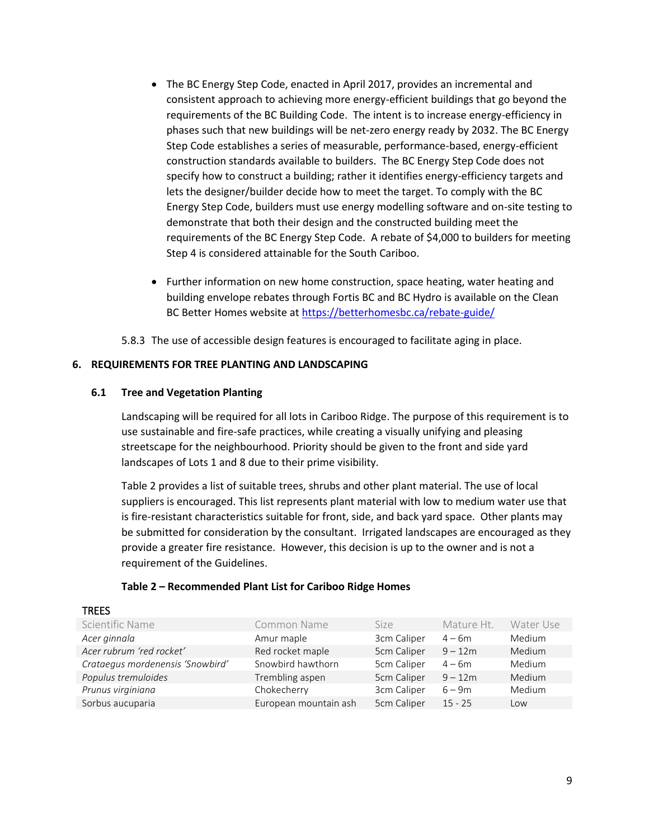- The BC Energy Step Code, enacted in April 2017, provides an incremental and consistent approach to achieving more energy-efficient buildings that go beyond the requirements of the BC Building Code. The intent is to increase energy-efficiency in phases such that new buildings will be net-zero energy ready by 2032. The BC Energy Step Code establishes a series of measurable, performance-based, energy-efficient construction standards available to builders. The BC Energy Step Code does not specify how to construct a building; rather it identifies energy-efficiency targets and lets the designer/builder decide how to meet the target. To comply with the BC Energy Step Code, builders must use energy modelling software and on-site testing to demonstrate that both their design and the constructed building meet the requirements of the BC Energy Step Code. A rebate of \$4,000 to builders for meeting Step 4 is considered attainable for the South Cariboo.
- Further information on new home construction, space heating, water heating and building envelope rebates through Fortis BC and BC Hydro is available on the Clean BC Better Homes website a[t https://betterhomesbc.ca/rebate-guide/](https://betterhomesbc.ca/rebate-guide/)

5.8.3 The use of accessible design features is encouraged to facilitate aging in place.

## **6. REQUIREMENTS FOR TREE PLANTING AND LANDSCAPING**

#### **6.1 Tree and Vegetation Planting**

TDEES

Landscaping will be required for all lots in Cariboo Ridge. The purpose of this requirement is to use sustainable and fire-safe practices, while creating a visually unifying and pleasing streetscape for the neighbourhood. Priority should be given to the front and side yard landscapes of Lots 1 and 8 due to their prime visibility.

Table 2 provides a list of suitable trees, shrubs and other plant material. The use of local suppliers is encouraged. This list represents plant material with low to medium water use that is fire-resistant characteristics suitable for front, side, and back yard space. Other plants may be submitted for consideration by the consultant. Irrigated landscapes are encouraged as they provide a greater fire resistance. However, this decision is up to the owner and is not a requirement of the Guidelines.

#### **Table 2 – Recommended Plant List for Cariboo Ridge Homes**

| INEES                            |                       |             |            |           |
|----------------------------------|-----------------------|-------------|------------|-----------|
| Scientific Name                  | Common Name           | Size        | Mature Ht. | Water Use |
| Acer ginnala                     | Amur maple            | 3cm Caliper | $4 - 6m$   | Medium    |
| Acer rubrum 'red rocket'         | Red rocket maple      | 5cm Caliper | $9 - 12m$  | Medium    |
| Crataegus mordenensis 'Snowbird' | Snowbird hawthorn     | 5cm Caliper | $4 - 6m$   | Medium    |
| Populus tremuloides              | Trembling aspen       | 5cm Caliper | $9 - 12m$  | Medium    |
| Prunus virginiana                | Chokecherry           | 3cm Caliper | $6 - 9m$   | Medium    |
| Sorbus aucuparia                 | European mountain ash | 5cm Caliper | $15 - 25$  | Low       |
|                                  |                       |             |            |           |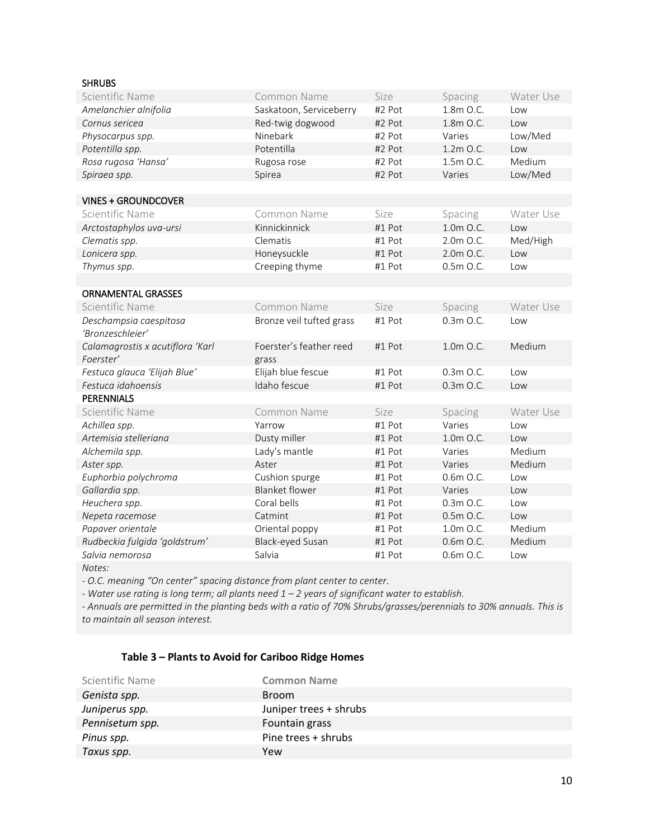## SHRUBS

| Scientific Name                  | Common Name              | Size   | Spacing     | Water Use |
|----------------------------------|--------------------------|--------|-------------|-----------|
| Amelanchier alnifolia            | Saskatoon, Serviceberry  | #2 Pot | 1.8m O.C.   | Low       |
| Cornus sericea                   | Red-twig dogwood         | #2 Pot | 1.8m O.C.   | Low       |
| Physocarpus spp.                 | Ninebark                 | #2 Pot | Varies      | Low/Med   |
| Potentilla spp.                  | Potentilla               | #2 Pot | 1.2m O.C.   | Low       |
| Rosa rugosa 'Hansa'              | Rugosa rose              | #2 Pot | 1.5m O.C.   | Medium    |
| Spiraea spp.                     | Spirea                   | #2 Pot | Varies      | Low/Med   |
|                                  |                          |        |             |           |
| <b>VINES + GROUNDCOVER</b>       |                          |        |             |           |
| Scientific Name                  | Common Name              | Size   | Spacing     | Water Use |
| Arctostaphylos uva-ursi          | Kinnickinnick            | #1 Pot | 1.0m O.C.   | Low       |
| Clematis spp.                    | Clematis                 | #1 Pot | 2.0m O.C.   | Med/High  |
| Lonicera spp.                    | Honeysuckle              | #1 Pot | 2.0m O.C.   | Low       |
| Thymus spp.                      | Creeping thyme           | #1 Pot | 0.5m O.C.   | Low       |
|                                  |                          |        |             |           |
| <b>ORNAMENTAL GRASSES</b>        |                          |        |             |           |
| Scientific Name                  | Common Name              | Size   | Spacing     | Water Use |
| Deschampsia caespitosa           | Bronze veil tufted grass | #1 Pot | $0.3m$ O.C. | Low       |
| 'Bronzeschleier'                 |                          |        |             |           |
| Calamagrostis x acutiflora 'Karl | Foerster's feather reed  | #1 Pot | 1.0m O.C.   | Medium    |
| Foerster'                        | grass                    |        |             |           |
| Festuca glauca 'Elijah Blue'     | Elijah blue fescue       | #1 Pot | $0.3m$ O.C. | Low       |
| Festuca idahoensis               | Idaho fescue             | #1 Pot | 0.3m O.C.   | Low       |
| <b>PERENNIALS</b>                |                          |        |             |           |
| Scientific Name                  | Common Name              | Size   | Spacing     | Water Use |
| Achillea spp.                    | Yarrow                   | #1 Pot | Varies      | Low       |
| Artemisia stelleriana            | Dusty miller             | #1 Pot | 1.0m O.C.   | Low       |
| Alchemila spp.                   | Lady's mantle            | #1 Pot | Varies      | Medium    |
| Aster spp.                       | Aster                    | #1 Pot | Varies      | Medium    |
| Euphorbia polychroma             | Cushion spurge           | #1 Pot | 0.6m O.C.   | Low       |
| Gallardia spp.                   | <b>Blanket flower</b>    | #1 Pot | Varies      | Low       |
| Heuchera spp.                    | Coral bells              | #1 Pot | $0.3m$ O.C. | Low       |
| Nepeta racemose                  | Catmint                  | #1 Pot | 0.5m O.C.   | Low       |
| Papaver orientale                | Oriental poppy           | #1 Pot | 1.0m O.C.   | Medium    |
| Rudbeckia fulgida 'goldstrum'    | Black-eyed Susan         | #1 Pot | $0.6m$ O.C. | Medium    |
| Salvia nemorosa                  | Salvia                   | #1 Pot | 0.6m O.C.   | Low       |
| Notes:                           |                          |        |             |           |

*- O.C. meaning "On center" spacing distance from plant center to center.* 

*- Water use rating is long term; all plants need 1 – 2 years of significant water to establish.* 

*- Annuals are permitted in the planting beds with a ratio of 70% Shrubs/grasses/perennials to 30% annuals. This is to maintain all season interest.*

# **Table 3 – Plants to Avoid for Cariboo Ridge Homes**

| Scientific Name | <b>Common Name</b>     |
|-----------------|------------------------|
| Genista spp.    | <b>Broom</b>           |
| Juniperus spp.  | Juniper trees + shrubs |
| Pennisetum spp. | Fountain grass         |
| Pinus spp.      | Pine trees + shrubs    |
| Taxus spp.      | Yew                    |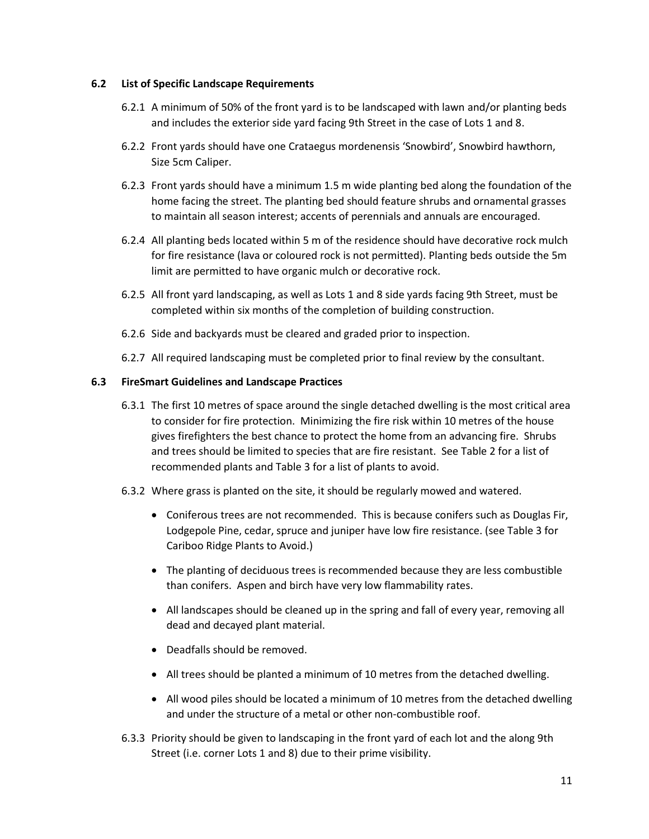## **6.2 List of Specific Landscape Requirements**

- 6.2.1 A minimum of 50% of the front yard is to be landscaped with lawn and/or planting beds and includes the exterior side yard facing 9th Street in the case of Lots 1 and 8.
- 6.2.2 Front yards should have one Crataegus mordenensis 'Snowbird', Snowbird hawthorn, Size 5cm Caliper.
- 6.2.3 Front yards should have a minimum 1.5 m wide planting bed along the foundation of the home facing the street. The planting bed should feature shrubs and ornamental grasses to maintain all season interest; accents of perennials and annuals are encouraged.
- 6.2.4 All planting beds located within 5 m of the residence should have decorative rock mulch for fire resistance (lava or coloured rock is not permitted). Planting beds outside the 5m limit are permitted to have organic mulch or decorative rock.
- 6.2.5 All front yard landscaping, as well as Lots 1 and 8 side yards facing 9th Street, must be completed within six months of the completion of building construction.
- 6.2.6 Side and backyards must be cleared and graded prior to inspection.
- 6.2.7 All required landscaping must be completed prior to final review by the consultant.

## **6.3 FireSmart Guidelines and Landscape Practices**

- 6.3.1 The first 10 metres of space around the single detached dwelling is the most critical area to consider for fire protection. Minimizing the fire risk within 10 metres of the house gives firefighters the best chance to protect the home from an advancing fire. Shrubs and trees should be limited to species that are fire resistant. See Table 2 for a list of recommended plants and Table 3 for a list of plants to avoid.
- 6.3.2 Where grass is planted on the site, it should be regularly mowed and watered.
	- Coniferous trees are not recommended. This is because conifers such as Douglas Fir, Lodgepole Pine, cedar, spruce and juniper have low fire resistance. (see Table 3 for Cariboo Ridge Plants to Avoid.)
	- The planting of deciduous trees is recommended because they are less combustible than conifers. Aspen and birch have very low flammability rates.
	- All landscapes should be cleaned up in the spring and fall of every year, removing all dead and decayed plant material.
	- Deadfalls should be removed.
	- All trees should be planted a minimum of 10 metres from the detached dwelling.
	- All wood piles should be located a minimum of 10 metres from the detached dwelling and under the structure of a metal or other non-combustible roof.
- 6.3.3 Priority should be given to landscaping in the front yard of each lot and the along 9th Street (i.e. corner Lots 1 and 8) due to their prime visibility.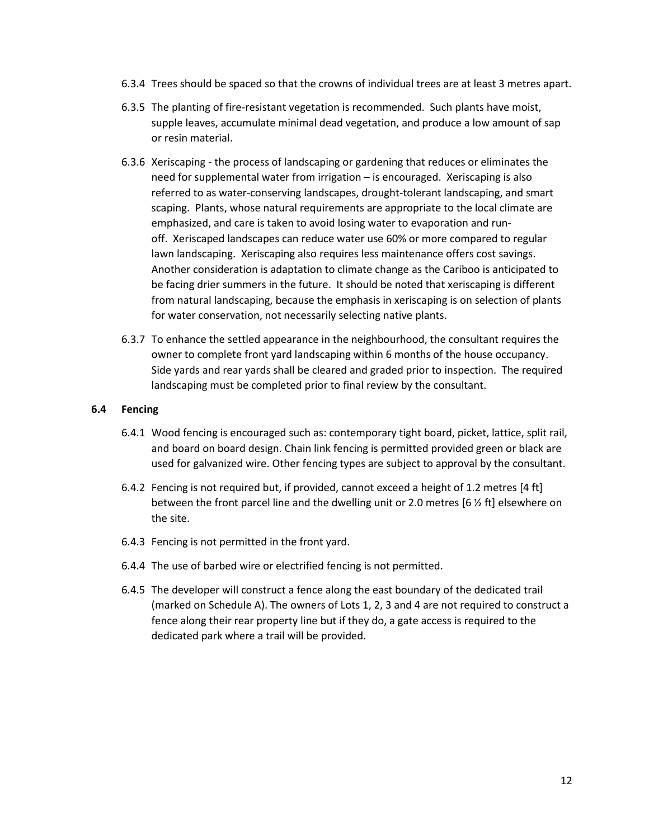- 6.3.4 Trees should be spaced so that the crowns of individual trees are at least 3 metres apart.
- 6.3.5 The planting of fire-resistant vegetation is recommended. Such plants have moist, supple leaves, accumulate minimal dead vegetation, and produce a low amount of sap or resin material.
- 6.3.6 Xeriscaping the process of landscaping or gardening that reduces or eliminates the need for supplemental water from irrigation – is encouraged. Xeriscaping is also referred to a[s water-conserving](https://en.wikipedia.org/wiki/Water_conservation) landscapes, [drought-](https://en.wikipedia.org/wiki/Drought)tolerant landscaping, and smart scaping. Plants, whose natural requirements are appropriate to the local climate are emphasized, and care is taken to avoid losing water to [evaporation](https://en.wikipedia.org/wiki/Evaporation) and [run](https://en.wikipedia.org/wiki/Surface_runoff)[off.](https://en.wikipedia.org/wiki/Surface_runoff) Xeriscaped landscapes can reduce water use 60% or more compared to regular lawn landscaping. Xeriscaping also requires less maintenance offers cost savings. Another consideration is adaptation to climate change as the Cariboo is anticipated to be facing drier summers in the future. It should be noted that xeriscaping is different from [natural landscaping,](https://en.wikipedia.org/wiki/Natural_landscaping) because the emphasis in xeriscaping is on selection of plants for water conservation, not necessarily selecting native plants.
- 6.3.7 To enhance the settled appearance in the neighbourhood, the consultant requires the owner to complete front yard landscaping within 6 months of the house occupancy. Side yards and rear yards shall be cleared and graded prior to inspection. The required landscaping must be completed prior to final review by the consultant.

## **6.4 Fencing**

- 6.4.1 Wood fencing is encouraged such as: contemporary tight board, picket, lattice, split rail, and board on board design. Chain link fencing is permitted provided green or black are used for galvanized wire. Other fencing types are subject to approval by the consultant.
- 6.4.2 Fencing is not required but, if provided, cannot exceed a height of 1.2 metres [4 ft] between the front parcel line and the dwelling unit or 2.0 metres [6  $\frac{1}{2}$  ft] elsewhere on the site.
- 6.4.3 Fencing is not permitted in the front yard.
- 6.4.4 The use of barbed wire or electrified fencing is not permitted.
- 6.4.5 The developer will construct a fence along the east boundary of the dedicated trail (marked on Schedule A). The owners of Lots 1, 2, 3 and 4 are not required to construct a fence along their rear property line but if they do, a gate access is required to the dedicated park where a trail will be provided.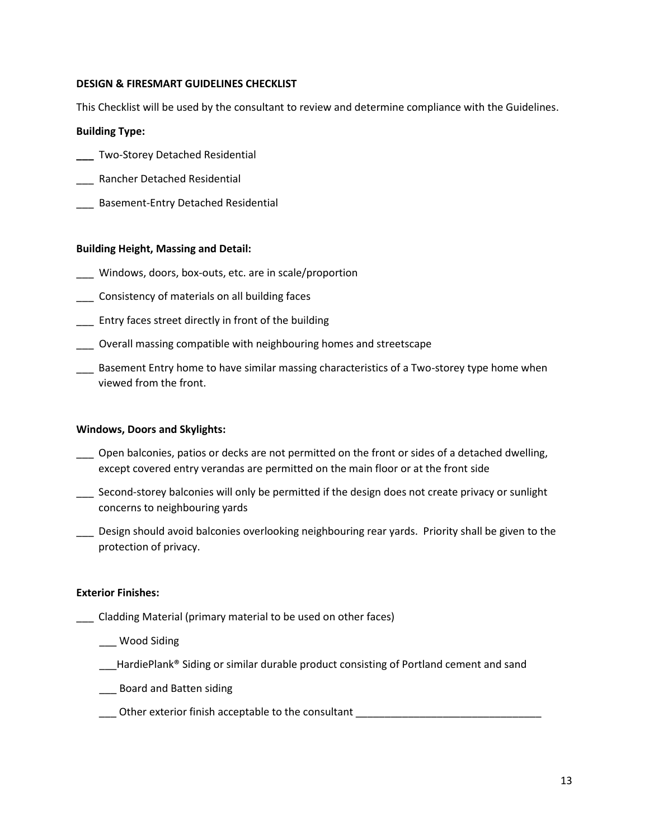## **DESIGN & FIRESMART GUIDELINES CHECKLIST**

This Checklist will be used by the consultant to review and determine compliance with the Guidelines.

#### **Building Type:**

- **\_\_\_** Two-Storey Detached Residential
- \_\_\_ Rancher Detached Residential
- \_\_\_ Basement-Entry Detached Residential

#### **Building Height, Massing and Detail:**

- \_\_\_ Windows, doors, box-outs, etc. are in scale/proportion
- \_\_\_ Consistency of materials on all building faces
- \_\_\_ Entry faces street directly in front of the building
- \_\_\_ Overall massing compatible with neighbouring homes and streetscape
- \_\_\_ Basement Entry home to have similar massing characteristics of a Two-storey type home when viewed from the front.

#### **Windows, Doors and Skylights:**

- \_\_\_ Open balconies, patios or decks are not permitted on the front or sides of a detached dwelling, except covered entry verandas are permitted on the main floor or at the front side
- Second-storey balconies will only be permitted if the design does not create privacy or sunlight concerns to neighbouring yards
- \_\_\_ Design should avoid balconies overlooking neighbouring rear yards. Priority shall be given to the protection of privacy.

#### **Exterior Finishes:**

- \_\_\_ Cladding Material (primary material to be used on other faces)
	- \_\_\_ Wood Siding
	- \_\_\_HardiePlank® Siding or similar durable product consisting of Portland cement and sand
	- \_\_\_ Board and Batten siding
	- \_\_\_ Other exterior finish acceptable to the consultant \_\_\_\_\_\_\_\_\_\_\_\_\_\_\_\_\_\_\_\_\_\_\_\_\_\_\_\_\_\_\_\_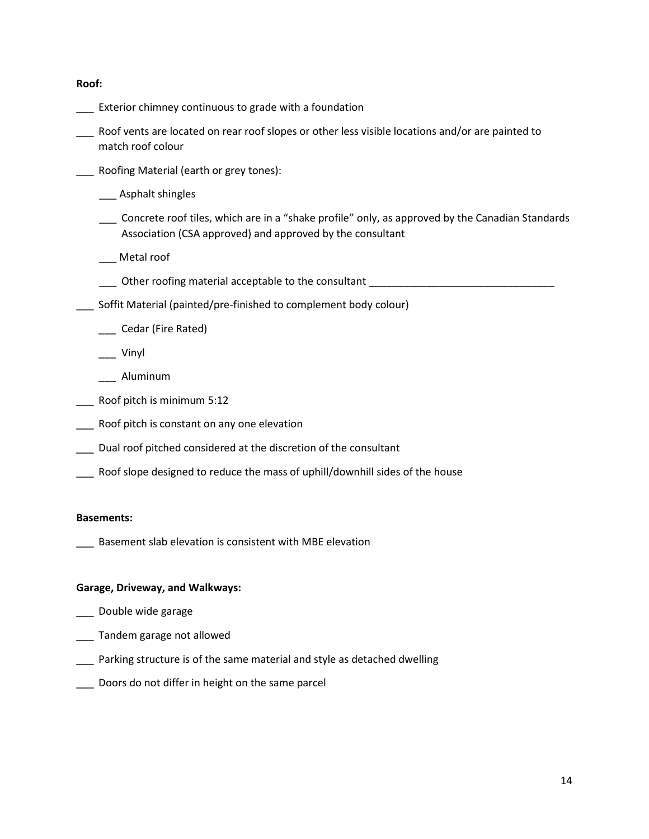**Roof:**

- \_\_\_ Exterior chimney continuous to grade with a foundation
- \_\_\_ Roof vents are located on rear roof slopes or other less visible locations and/or are painted to match roof colour
- \_\_\_ Roofing Material (earth or grey tones):
	- \_\_\_ Asphalt shingles
	- \_\_\_ Concrete roof tiles, which are in a "shake profile" only, as approved by the Canadian Standards Association (CSA approved) and approved by the consultant

\_\_\_ Metal roof

- Other roofing material acceptable to the consultant
- \_\_\_ Soffit Material (painted/pre-finished to complement body colour)
	- \_\_\_ Cedar (Fire Rated)
	- \_\_\_ Vinyl
	- \_\_\_ Aluminum
- \_\_\_ Roof pitch is minimum 5:12
- Roof pitch is constant on any one elevation
- Dual roof pitched considered at the discretion of the consultant
- Roof slope designed to reduce the mass of uphill/downhill sides of the house

#### **Basements:**

Basement slab elevation is consistent with MBE elevation

## **Garage, Driveway, and Walkways:**

- \_\_\_ Double wide garage
- \_\_\_ Tandem garage not allowed
- Parking structure is of the same material and style as detached dwelling
- Doors do not differ in height on the same parcel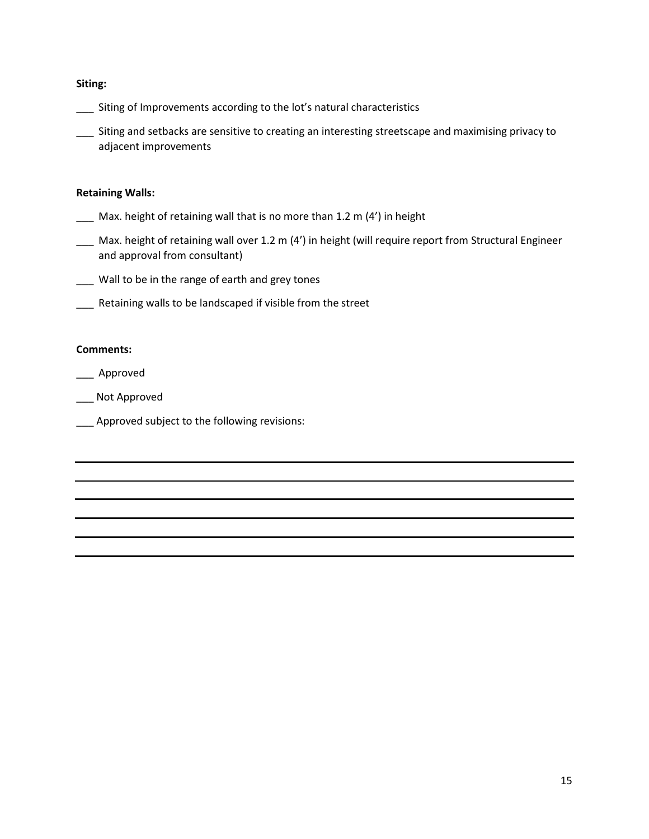#### **Siting:**

- \_\_\_ Siting of Improvements according to the lot's natural characteristics
- \_\_\_ Siting and setbacks are sensitive to creating an interesting streetscape and maximising privacy to adjacent improvements

#### **Retaining Walls:**

- \_\_\_ Max. height of retaining wall that is no more than 1.2 m (4') in height
- \_\_\_ Max. height of retaining wall over 1.2 m (4') in height (will require report from Structural Engineer and approval from consultant)
- \_\_\_ Wall to be in the range of earth and grey tones
- Retaining walls to be landscaped if visible from the street

## **Comments:**

\_\_\_ Approved

- \_\_\_ Not Approved
- Approved subject to the following revisions: